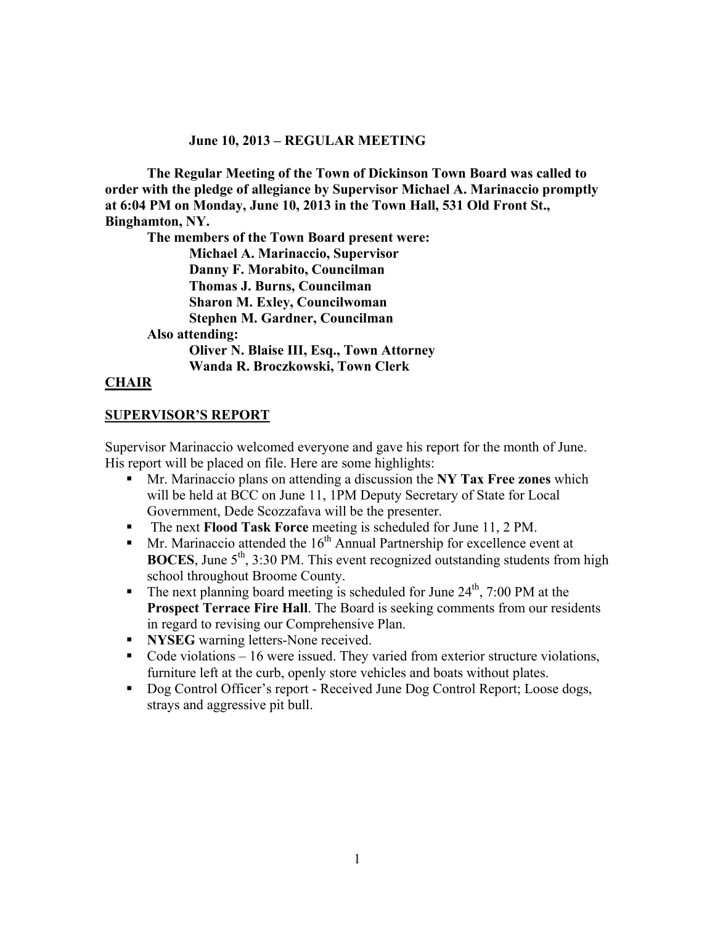#### **June 10, 2013 – REGULAR MEETING**

**The Regular Meeting of the Town of Dickinson Town Board was called to order with the pledge of allegiance by Supervisor Michael A. Marinaccio promptly at 6:04 PM on Monday, June 10, 2013 in the Town Hall, 531 Old Front St., Binghamton, NY.** 

**The members of the Town Board present were:** 

 **Michael A. Marinaccio, Supervisor Danny F. Morabito, Councilman Thomas J. Burns, Councilman Sharon M. Exley, Councilwoman** 

**Stephen M. Gardner, Councilman** 

**Also attending:** 

 **Oliver N. Blaise III, Esq., Town Attorney Wanda R. Broczkowski, Town Clerk** 

#### **CHAIR**

#### **SUPERVISOR'S REPORT**

Supervisor Marinaccio welcomed everyone and gave his report for the month of June. His report will be placed on file. Here are some highlights:

- Mr. Marinaccio plans on attending a discussion the **NY Tax Free zones** which will be held at BCC on June 11, 1PM Deputy Secretary of State for Local Government, Dede Scozzafava will be the presenter.
- The next **Flood Task Force** meeting is scheduled for June 11, 2 PM.
- Mr. Marinaccio attended the  $16<sup>th</sup>$  Annual Partnership for excellence event at **BOCES**, June  $5<sup>th</sup>$ , 3:30 PM. This event recognized outstanding students from high school throughout Broome County.
- The next planning board meeting is scheduled for June  $24<sup>th</sup>$ , 7:00 PM at the **Prospect Terrace Fire Hall**. The Board is seeking comments from our residents in regard to revising our Comprehensive Plan.
- **NYSEG** warning letters-None received.
- $\blacksquare$  Code violations  $-16$  were issued. They varied from exterior structure violations, furniture left at the curb, openly store vehicles and boats without plates.
- Dog Control Officer's report Received June Dog Control Report; Loose dogs, strays and aggressive pit bull.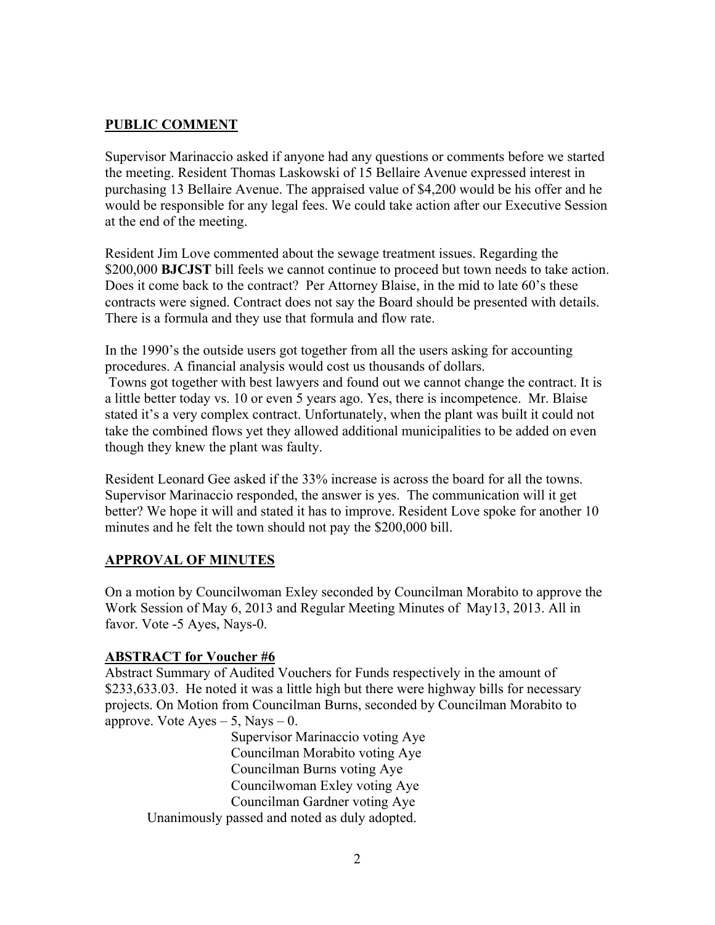### **PUBLIC COMMENT**

Supervisor Marinaccio asked if anyone had any questions or comments before we started the meeting. Resident Thomas Laskowski of 15 Bellaire Avenue expressed interest in purchasing 13 Bellaire Avenue. The appraised value of \$4,200 would be his offer and he would be responsible for any legal fees. We could take action after our Executive Session at the end of the meeting.

Resident Jim Love commented about the sewage treatment issues. Regarding the \$200,000 **BJCJST** bill feels we cannot continue to proceed but town needs to take action. Does it come back to the contract? Per Attorney Blaise, in the mid to late 60's these contracts were signed. Contract does not say the Board should be presented with details. There is a formula and they use that formula and flow rate.

In the 1990's the outside users got together from all the users asking for accounting procedures. A financial analysis would cost us thousands of dollars. Towns got together with best lawyers and found out we cannot change the contract. It is a little better today vs. 10 or even 5 years ago. Yes, there is incompetence. Mr. Blaise stated it's a very complex contract. Unfortunately, when the plant was built it could not take the combined flows yet they allowed additional municipalities to be added on even though they knew the plant was faulty.

Resident Leonard Gee asked if the 33% increase is across the board for all the towns. Supervisor Marinaccio responded, the answer is yes. The communication will it get better? We hope it will and stated it has to improve. Resident Love spoke for another 10 minutes and he felt the town should not pay the \$200,000 bill.

#### **APPROVAL OF MINUTES**

On a motion by Councilwoman Exley seconded by Councilman Morabito to approve the Work Session of May 6, 2013 and Regular Meeting Minutes of May13, 2013. All in favor. Vote -5 Ayes, Nays-0.

#### **ABSTRACT for Voucher #6**

Abstract Summary of Audited Vouchers for Funds respectively in the amount of \$233,633,03. He noted it was a little high but there were highway bills for necessary projects. On Motion from Councilman Burns, seconded by Councilman Morabito to approve. Vote  $Ayes - 5$ , Nays  $- 0$ .

 Supervisor Marinaccio voting Aye Councilman Morabito voting Aye Councilman Burns voting Aye Councilwoman Exley voting Aye Councilman Gardner voting Aye Unanimously passed and noted as duly adopted.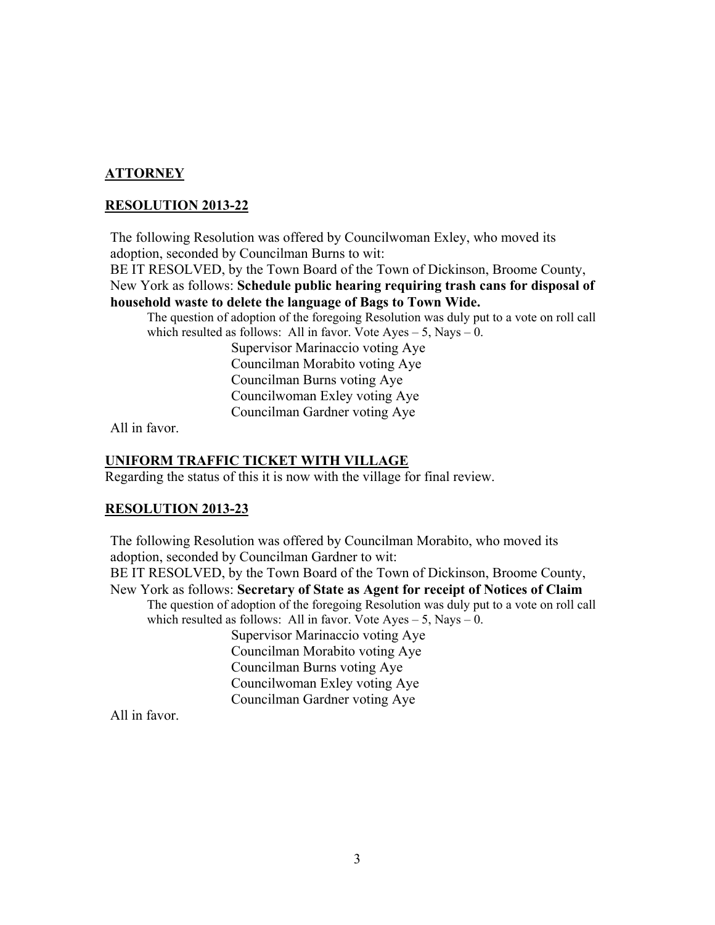# **ATTORNEY**

#### **RESOLUTION 2013-22**

The following Resolution was offered by Councilwoman Exley, who moved its adoption, seconded by Councilman Burns to wit:

BE IT RESOLVED, by the Town Board of the Town of Dickinson, Broome County, New York as follows: **Schedule public hearing requiring trash cans for disposal of household waste to delete the language of Bags to Town Wide.** 

The question of adoption of the foregoing Resolution was duly put to a vote on roll call which resulted as follows: All in favor. Vote  $Ayes - 5$ , Nays  $- 0$ .

 Supervisor Marinaccio voting Aye Councilman Morabito voting Aye Councilman Burns voting Aye Councilwoman Exley voting Aye Councilman Gardner voting Aye

All in favor.

#### **UNIFORM TRAFFIC TICKET WITH VILLAGE**

Regarding the status of this it is now with the village for final review.

#### **RESOLUTION 2013-23**

The following Resolution was offered by Councilman Morabito, who moved its adoption, seconded by Councilman Gardner to wit: BE IT RESOLVED, by the Town Board of the Town of Dickinson, Broome County, New York as follows: **Secretary of State as Agent for receipt of Notices of Claim**  The question of adoption of the foregoing Resolution was duly put to a vote on roll call which resulted as follows: All in favor. Vote  $Ayes - 5$ , Nays  $- 0$ . Supervisor Marinaccio voting Aye Councilman Morabito voting Aye Councilman Burns voting Aye Councilwoman Exley voting Aye Councilman Gardner voting Aye

All in favor.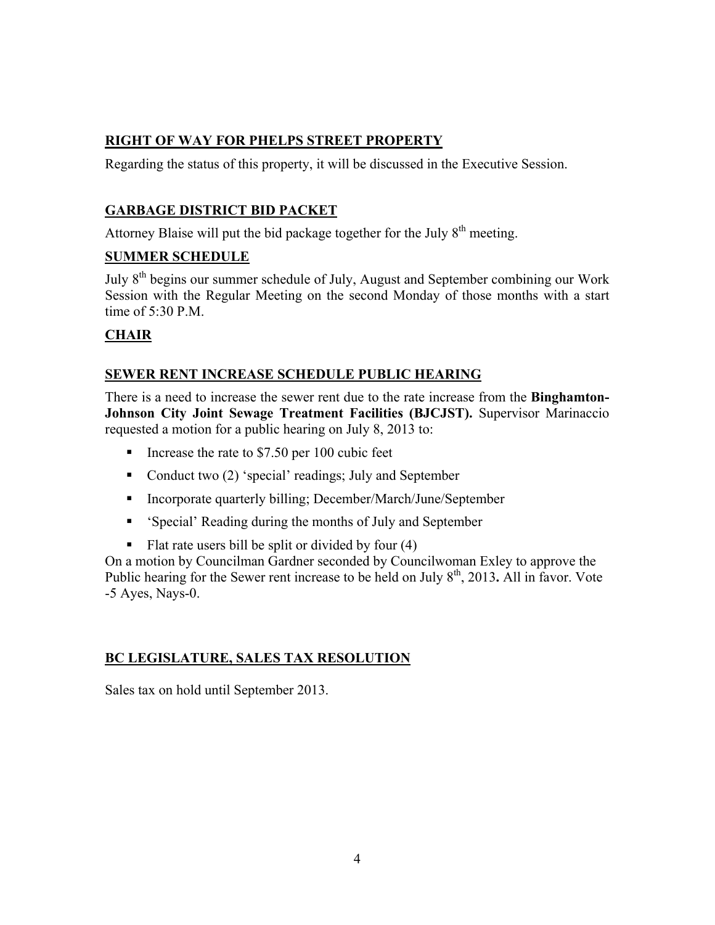# **RIGHT OF WAY FOR PHELPS STREET PROPERTY**

Regarding the status of this property, it will be discussed in the Executive Session.

# **GARBAGE DISTRICT BID PACKET**

Attorney Blaise will put the bid package together for the July  $8<sup>th</sup>$  meeting.

## **SUMMER SCHEDULE**

July 8th begins our summer schedule of July, August and September combining our Work Session with the Regular Meeting on the second Monday of those months with a start time of 5:30 P.M.

# **CHAIR**

## **SEWER RENT INCREASE SCHEDULE PUBLIC HEARING**

There is a need to increase the sewer rent due to the rate increase from the **Binghamton-Johnson City Joint Sewage Treatment Facilities (BJCJST).** Supervisor Marinaccio requested a motion for a public hearing on July 8, 2013 to:

- Increase the rate to  $$7.50$  per 100 cubic feet
- Conduct two (2) 'special' readings; July and September
- Incorporate quarterly billing; December/March/June/September
- 'Special' Reading during the months of July and September
- Flat rate users bill be split or divided by four  $(4)$

On a motion by Councilman Gardner seconded by Councilwoman Exley to approve the Public hearing for the Sewer rent increase to be held on July 8<sup>th</sup>, 2013**.** All in favor. Vote -5 Ayes, Nays-0.

# **BC LEGISLATURE, SALES TAX RESOLUTION**

Sales tax on hold until September 2013.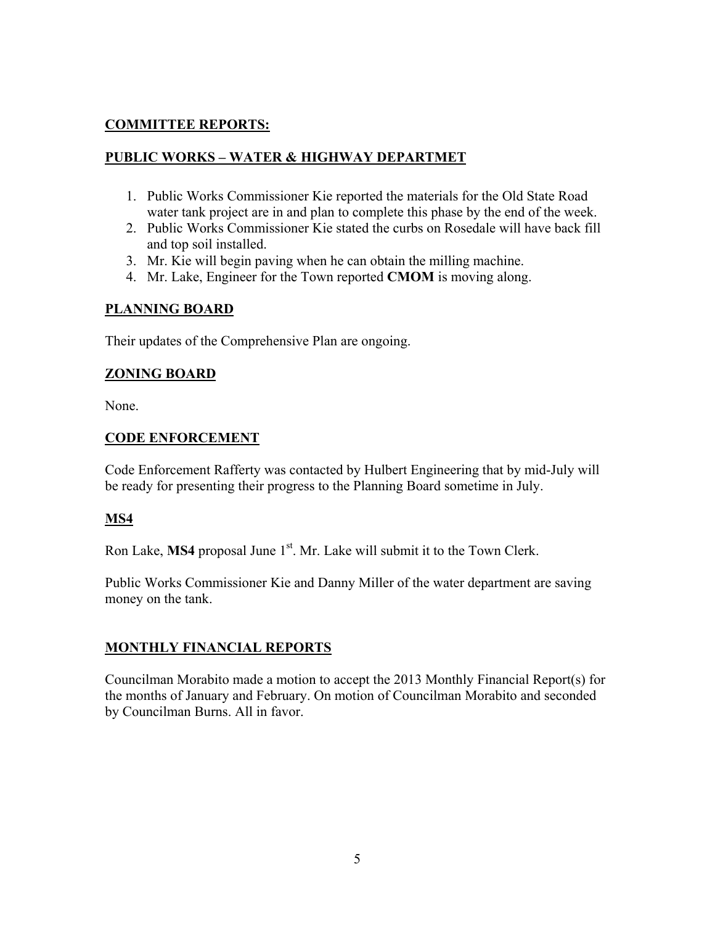# **COMMITTEE REPORTS:**

## **PUBLIC WORKS – WATER & HIGHWAY DEPARTMET**

- 1. Public Works Commissioner Kie reported the materials for the Old State Road water tank project are in and plan to complete this phase by the end of the week.
- 2. Public Works Commissioner Kie stated the curbs on Rosedale will have back fill and top soil installed.
- 3. Mr. Kie will begin paving when he can obtain the milling machine.
- 4. Mr. Lake, Engineer for the Town reported **CMOM** is moving along.

#### **PLANNING BOARD**

Their updates of the Comprehensive Plan are ongoing.

## **ZONING BOARD**

None.

## **CODE ENFORCEMENT**

Code Enforcement Rafferty was contacted by Hulbert Engineering that by mid-July will be ready for presenting their progress to the Planning Board sometime in July.

# **MS4**

Ron Lake, MS4 proposal June 1<sup>st</sup>. Mr. Lake will submit it to the Town Clerk.

Public Works Commissioner Kie and Danny Miller of the water department are saving money on the tank.

#### **MONTHLY FINANCIAL REPORTS**

Councilman Morabito made a motion to accept the 2013 Monthly Financial Report(s) for the months of January and February. On motion of Councilman Morabito and seconded by Councilman Burns. All in favor.